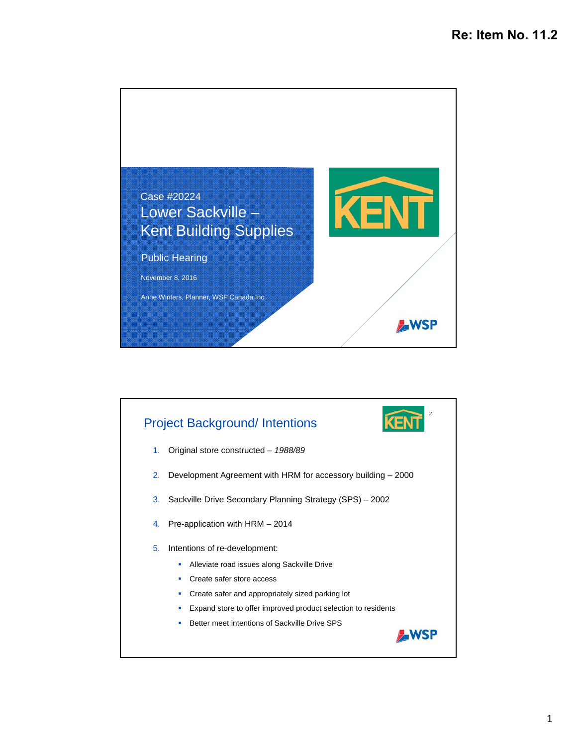

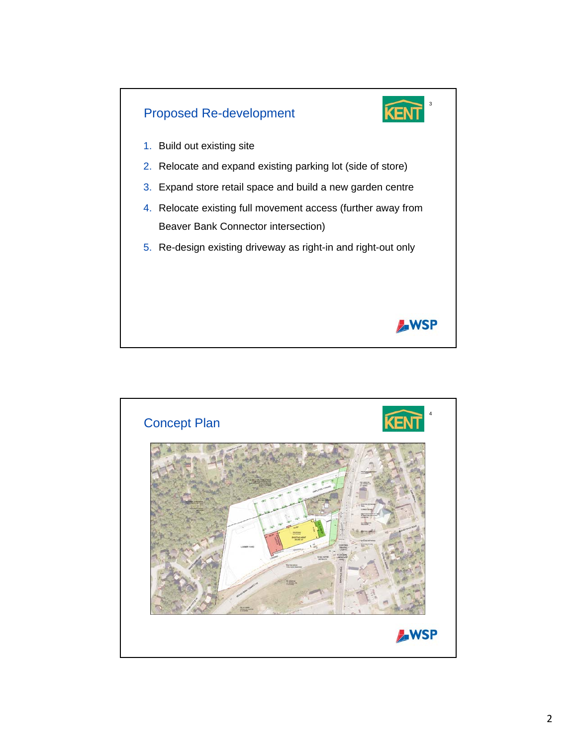

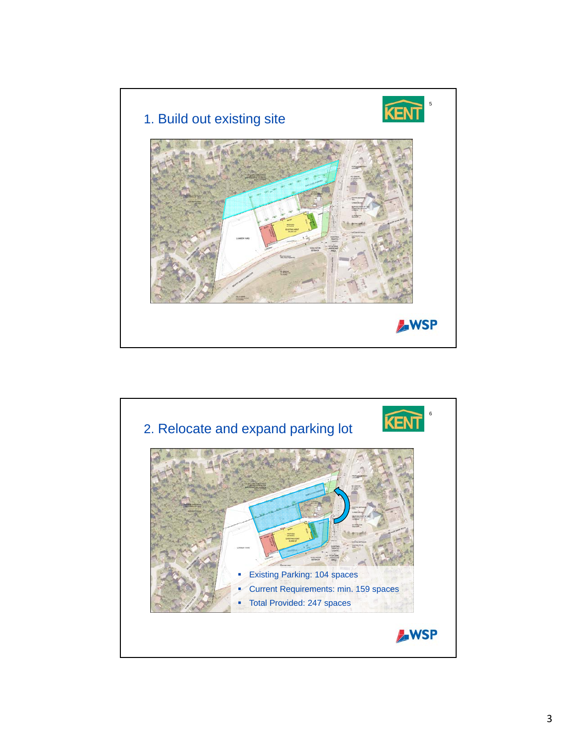

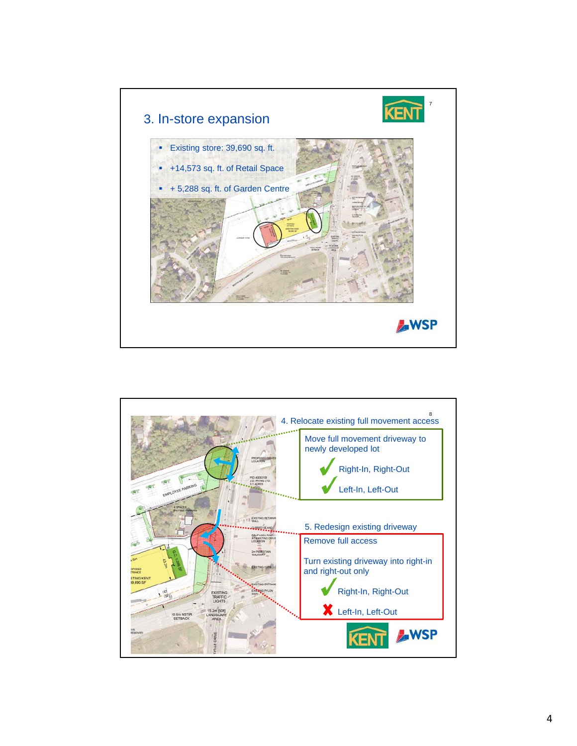